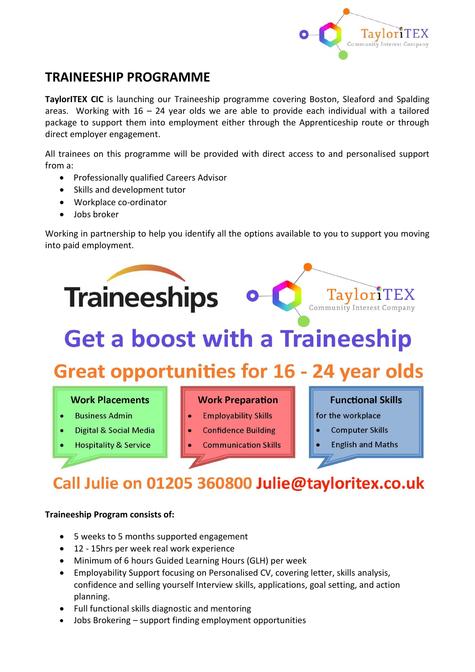

# **TRAINEESHIP PROGRAMME**

**TaylorITEX CIC** is launching our Traineeship programme covering Boston, Sleaford and Spalding areas. Working with  $16 - 24$  year olds we are able to provide each individual with a tailored package to support them into employment either through the Apprenticeship route or through direct employer engagement.

All trainees on this programme will be provided with direct access to and personalised support from a:

- Professionally qualified Careers Advisor
- Skills and development tutor
- Workplace co-ordinator
- Jobs broker

Working in partnership to help you identify all the options available to you to support you moving into paid employment.



- **Hospitality & Service**
- 
- **Communication Skills**
- **Computer Skills**
- **English and Maths**

# Call Julie on 01205 360800 Julie@tayloritex.co.uk

### **Traineeship Program consists of:**

- 5 weeks to 5 months supported engagement
- 12 15hrs per week real work experience
- Minimum of 6 hours Guided Learning Hours (GLH) per week
- Employability Support focusing on Personalised CV, covering letter, skills analysis, confidence and selling yourself Interview skills, applications, goal setting, and action planning.
- Full functional skills diagnostic and mentoring
- Jobs Brokering support finding employment opportunities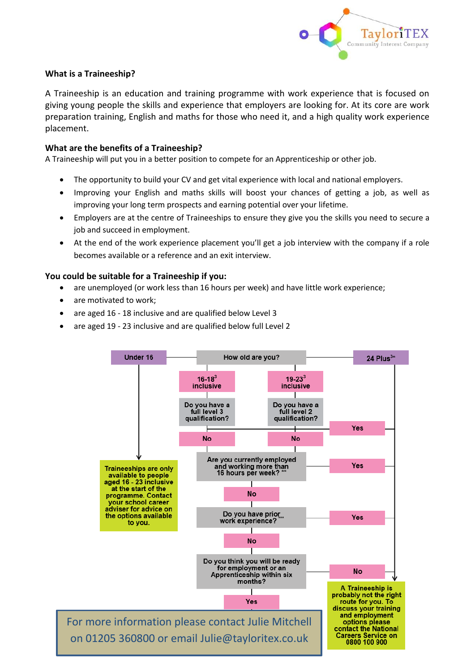

### **What is a Traineeship?**

A Traineeship is an education and training programme with work experience that is focused on giving young people the skills and experience that employers are looking for. At its core are work preparation training, English and maths for those who need it, and a high quality work experience placement.

### **What are the benefits of a Traineeship?**

A Traineeship will put you in a better position to compete for an Apprenticeship or other job.

- The opportunity to build your CV and get vital experience with local and national employers.
- Improving your English and maths skills will boost your chances of getting a job, as well as improving your long term prospects and earning potential over your lifetime.
- Employers are at the centre of Traineeships to ensure they give you the skills you need to secure a job and succeed in employment.
- At the end of the work experience placement you'll get a job interview with the company if a role becomes available or a reference and an exit interview.

### **You could be suitable for a Traineeship if you:**

- are unemployed (or work less than 16 hours per week) and have little work experience;
- are motivated to work;
- are aged 16 18 inclusive and are qualified below Level 3
- are aged 19 23 inclusive and are qualified below full Level 2

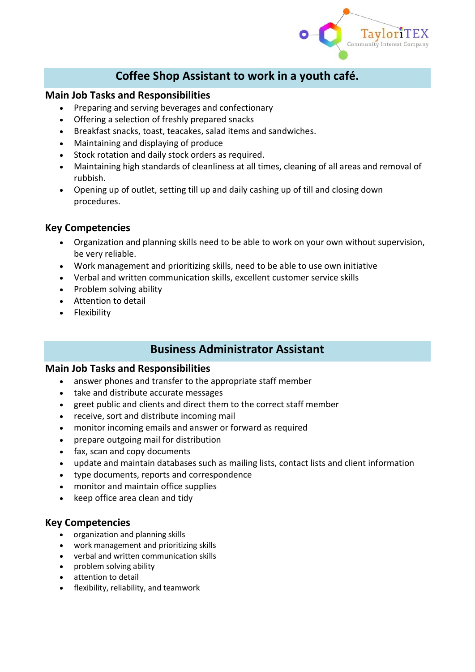

## **Coffee Shop Assistant to work in a youth café.**

### **Main Job Tasks and Responsibilities**

- Preparing and serving beverages and confectionary
- Offering a selection of freshly prepared snacks
- Breakfast snacks, toast, teacakes, salad items and sandwiches.
- Maintaining and displaying of produce
- Stock rotation and daily stock orders as required.
- Maintaining high standards of cleanliness at all times, cleaning of all areas and removal of rubbish.
- Opening up of outlet, setting till up and daily cashing up of till and closing down procedures.

### **Key Competencies**

- Organization and planning skills need to be able to work on your own without supervision, be very reliable.
- Work management and prioritizing skills, need to be able to use own initiative
- Verbal and written communication skills, excellent customer service skills
- Problem solving ability
- Attention to detail
- Flexibility

### **Business Administrator Assistant**

### **Main Job Tasks and Responsibilities**

- answer phones and transfer to the appropriate staff member
- take and distribute accurate messages
- greet public and clients and direct them to the correct staff member
- receive, sort and distribute incoming mail
- monitor incoming emails and answer or forward as required
- prepare outgoing mail for distribution
- fax, scan and copy documents
- update and maintain databases such as mailing lists, contact lists and client information
- type documents, reports and correspondence
- monitor and maintain office supplies
- keep office area clean and tidy

### **Key Competencies**

- organization and planning skills
- work management and prioritizing skills
- verbal and written communication skills
- problem solving ability
- attention to detail
- flexibility, reliability, and teamwork